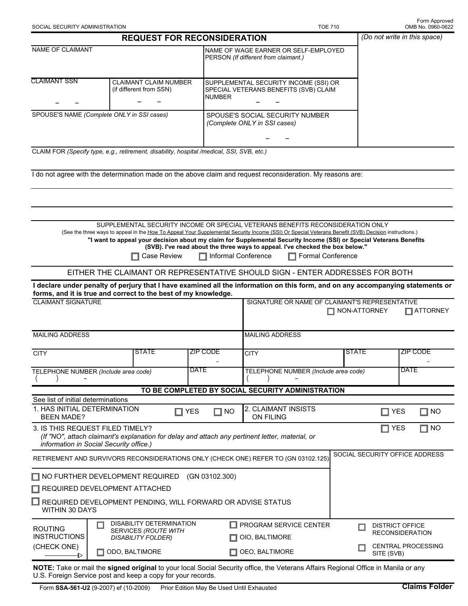| SOCIAL SECURITY ADMINISTRATION                                                              |                       |                                                                               |                                    |                                                                                                                                                                                                                                                                                                                                                                                                                                                                      | <b>TOE 710</b>           |                                                  | Form Approved<br>OMB No. 0960-0622 |  |  |
|---------------------------------------------------------------------------------------------|-----------------------|-------------------------------------------------------------------------------|------------------------------------|----------------------------------------------------------------------------------------------------------------------------------------------------------------------------------------------------------------------------------------------------------------------------------------------------------------------------------------------------------------------------------------------------------------------------------------------------------------------|--------------------------|--------------------------------------------------|------------------------------------|--|--|
|                                                                                             |                       |                                                                               | <b>REQUEST FOR RECONSIDERATION</b> |                                                                                                                                                                                                                                                                                                                                                                                                                                                                      |                          |                                                  | (Do not write in this space)       |  |  |
| NAME OF CLAIMANT                                                                            |                       |                                                                               |                                    | NAME OF WAGE EARNER OR SELF-EMPLOYED<br>PERSON (If different from claimant.)                                                                                                                                                                                                                                                                                                                                                                                         |                          |                                                  |                                    |  |  |
| <b>CLAIMANT SSN</b>                                                                         |                       | <b>CLAIMANT CLAIM NUMBER</b><br>(if different from SSN)                       | <b>NUMBER</b>                      | SUPPLEMENTAL SECURITY INCOME (SSI) OR<br>SPECIAL VETERANS BENEFITS (SVB) CLAIM                                                                                                                                                                                                                                                                                                                                                                                       |                          |                                                  |                                    |  |  |
| SPOUSE'S NAME (Complete ONLY in SSI cases)                                                  |                       |                                                                               |                                    | SPOUSE'S SOCIAL SECURITY NUMBER<br>(Complete ONLY in SSI cases)                                                                                                                                                                                                                                                                                                                                                                                                      |                          |                                                  |                                    |  |  |
| CLAIM FOR (Specify type, e.g., retirement, disability, hospital /medical, SSI, SVB, etc.)   |                       |                                                                               |                                    |                                                                                                                                                                                                                                                                                                                                                                                                                                                                      |                          |                                                  |                                    |  |  |
|                                                                                             |                       |                                                                               |                                    | I do not agree with the determination made on the above claim and request reconsideration. My reasons are:                                                                                                                                                                                                                                                                                                                                                           |                          |                                                  |                                    |  |  |
|                                                                                             |                       |                                                                               |                                    |                                                                                                                                                                                                                                                                                                                                                                                                                                                                      |                          |                                                  |                                    |  |  |
|                                                                                             |                       |                                                                               |                                    |                                                                                                                                                                                                                                                                                                                                                                                                                                                                      |                          |                                                  |                                    |  |  |
|                                                                                             |                       | Case Review                                                                   |                                    | SUPPLEMENTAL SECURITY INCOME OR SPECIAL VETERANS BENEFITS RECONSIDERATION ONLY<br>(See the three ways to appeal in the How To Appeal Your Supplemental Security Income (SSI) Or Special Veterans Benefit (SVB) Decision instructions.)<br>"I want to appeal your decision about my claim for Supplemental Security Income (SSI) or Special Veterans Benefits<br>(SVB). I've read about the three ways to appeal. I've checked the box below."<br>Informal Conference | <b>Formal Conference</b> |                                                  |                                    |  |  |
|                                                                                             |                       |                                                                               |                                    | EITHER THE CLAIMANT OR REPRESENTATIVE SHOULD SIGN - ENTER ADDRESSES FOR BOTH                                                                                                                                                                                                                                                                                                                                                                                         |                          |                                                  |                                    |  |  |
| forms, and it is true and correct to the best of my knowledge.                              |                       |                                                                               |                                    | I declare under penalty of perjury that I have examined all the information on this form, and on any accompanying statements or                                                                                                                                                                                                                                                                                                                                      |                          |                                                  |                                    |  |  |
| <b>CLAIMANT SIGNATURE</b>                                                                   |                       |                                                                               |                                    | SIGNATURE OR NAME OF CLAIMANT'S REPRESENTATIVE                                                                                                                                                                                                                                                                                                                                                                                                                       | $\Box$ NON-ATTORNEY      |                                                  | $\Box$ ATTORNEY                    |  |  |
| <b>MAILING ADDRESS</b>                                                                      |                       |                                                                               |                                    | <b>MAILING ADDRESS</b>                                                                                                                                                                                                                                                                                                                                                                                                                                               |                          |                                                  |                                    |  |  |
| <b>CITY</b>                                                                                 |                       | <b>STATE</b>                                                                  | <b>ZIP CODE</b>                    | <b>CITY</b>                                                                                                                                                                                                                                                                                                                                                                                                                                                          | <b>STATE</b>             |                                                  | <b>ZIP CODE</b>                    |  |  |
| TELEPHONE NUMBER (Include area code)                                                        |                       |                                                                               | <b>DATE</b>                        | TELEPHONE NUMBER (Include area code)                                                                                                                                                                                                                                                                                                                                                                                                                                 |                          |                                                  | <b>DATE</b>                        |  |  |
|                                                                                             |                       |                                                                               |                                    | TO BE COMPLETED BY SOCIAL SECURITY ADMINISTRATION                                                                                                                                                                                                                                                                                                                                                                                                                    |                          |                                                  |                                    |  |  |
| See list of initial determinations<br>1. HAS INITIAL DETERMINATION<br><b>BEEN MADE?</b>     |                       |                                                                               | $\Box$ YES<br>$\Box$ NO            | 2. CLAIMANT INSISTS<br><b>ON FILING</b>                                                                                                                                                                                                                                                                                                                                                                                                                              |                          | $\Box$ YES                                       | $\Box$ NO                          |  |  |
| 3. IS THIS REQUEST FILED TIMELY?<br>information in Social Security office.)                 |                       |                                                                               |                                    | (If "NO", attach claimant's explanation for delay and attach any pertinent letter, material, or                                                                                                                                                                                                                                                                                                                                                                      |                          | $\Box$ YES                                       | $\Box$ NO                          |  |  |
|                                                                                             |                       |                                                                               |                                    | RETIREMENT AND SURVIVORS RECONSIDERATIONS ONLY (CHECK ONE) REFER TO (GN 03102.125)                                                                                                                                                                                                                                                                                                                                                                                   |                          |                                                  | SOCIAL SECURITY OFFICE ADDRESS     |  |  |
| $\Box$ NO FURTHER DEVELOPMENT REQUIRED<br>$\Box$ REQUIRED DEVELOPMENT ATTACHED              |                       |                                                                               | (GN 03102.300)                     |                                                                                                                                                                                                                                                                                                                                                                                                                                                                      |                          |                                                  |                                    |  |  |
| $\Box$ REQUIRED DEVELOPMENT PENDING, WILL FORWARD OR ADVISE STATUS<br><b>WITHIN 30 DAYS</b> |                       |                                                                               |                                    |                                                                                                                                                                                                                                                                                                                                                                                                                                                                      |                          |                                                  |                                    |  |  |
| <b>ROUTING</b><br><b>INSTRUCTIONS</b>                                                       |                       | DISABILITY DETERMINATION<br>SERVICES (ROUTE WITH<br><b>DISABILITY FOLDER)</b> |                                    | PROGRAM SERVICE CENTER<br>OIO, BALTIMORE                                                                                                                                                                                                                                                                                                                                                                                                                             |                          | <b>DISTRICT OFFICE</b><br><b>RECONSIDERATION</b> |                                    |  |  |
| (CHECK ONE)<br>▷                                                                            | $\Box$ ODO, BALTIMORE |                                                                               |                                    | OEO, BALTIMORE                                                                                                                                                                                                                                                                                                                                                                                                                                                       |                          | <b>CENTRAL PROCESSING</b><br>SITE (SVB)          |                                    |  |  |

**NOTE:** Take or mail the **signed original** to your local Social Security office, the Veterans Affairs Regional Office in Manila or any U.S. Foreign Service post and keep a copy for your records.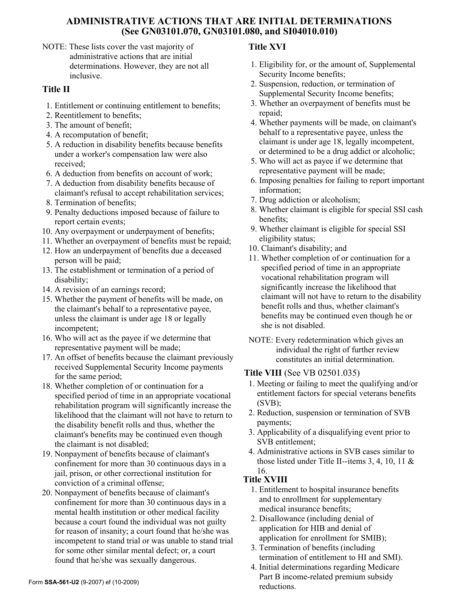### **ADMINISTRATIVE ACTIONS THAT ARE INITIAL DETERMINATIONS (See GN03101.070, GN03101.080, and SI04010.010)**

NOTE: These lists cover the vast majority of administrative actions that are initial determinations. However, they are not all inclusive.

# **Title II**

- 1. Entitlement or continuing entitlement to benefits;
- 2. Reentitlement to benefits;
- 3. The amount of benefit;
- 4. A recomputation of benefit;
- 5. A reduction in disability benefits because benefits under a worker's compensation law were also received;
- 6. A deduction from benefits on account of work;
- 7. A deduction from disability benefits because of claimant's refusal to accept rehabilitation services;
- 8. Termination of benefits;
- 9. Penalty deductions imposed because of failure to report certain events;
- 10. Any overpayment or underpayment of benefits;
- 11. Whether an overpayment of benefits must be repaid;
- 12. How an underpayment of benefits due a deceased person will be paid;
- 13. The establishment or termination of a period of disability;
- 14. A revision of an earnings record;
- 15. Whether the payment of benefits will be made, on the claimant's behalf to a representative payee, unless the claimant is under age 18 or legally incompetent;
- 16. Who will act as the payee if we determine that representative payment will be made;
- 17. An offset of benefits because the claimant previously received Supplemental Security Income payments for the same period;
- 18. Whether completion of or continuation for a specified period of time in an appropriate vocational rehabilitation program will significantly increase the likelihood that the claimant will not have to return to the disability benefit rolls and thus, whether the claimant's benefits may be continued even though the claimant is not disabled;
- 19. Nonpayment of benefits because of claimant's confinement for more than 30 continuous days in a jail, prison, or other correctional institution for conviction of a criminal offense;
- 20. Nonpayment of benefits because of claimant's confinement for more than 30 continuous days in a mental health institution or other medical facility because a court found the individual was not guilty for reason of insanity; a court found that he/she was incompetent to stand trial or was unable to stand trial for some other similar mental defect; or, a court found that he/she was sexually dangerous.

## **Title XVI**

- 1. Eligibility for, or the amount of, Supplemental Security Income benefits;
- 2. Suspension, reduction, or termination of Supplemental Security Income benefits;
- 3. Whether an overpayment of benefits must be repaid;
- 4. Whether payments will be made, on claimant's behalf to a representative payee, unless the claimant is under age 18, legally incompetent, or determined to be a drug addict or alcoholic;
- 5. Who will act as payee if we determine that representative payment will be made;
- 6. Imposing penalties for failing to report important information;
- 7. Drug addiction or alcoholism;
- 8. Whether claimant is eligible for special SSI cash benefits;
- 9. Whether claimant is eligible for special SSI eligibility status;
- 10. Claimant's disability; and
- 11. Whether completion of or continuation for a specified period of time in an appropriate vocational rehabilitation program will significantly increase the likelihood that claimant will not have to return to the disability benefit rolls and thus, whether claimant's benefits may be continued even though he or she is not disabled.
- NOTE: Every redetermination which gives an individual the right of further review constitutes an initial determination.

### **Title VIII** (See VB 02501.035)

- 1. Meeting or failing to meet the qualifying and/or entitlement factors for special veterans benefits (SVB);
- 2. Reduction, suspension or termination of SVB payments;
- 3. Applicability of a disqualifying event prior to SVB entitlement;
- 4. Administrative actions in SVB cases similar to those listed under Title II--items 3, 4, 10, 11 & 16.

## **Title XVIII**

- 1. Entitlement to hospital insurance benefits and to enrollment for supplementary medical insurance benefits;
- 2. Disallowance (including denial of application for HIB and denial of application for enrollment for SMIB);
- 3. Termination of benefits (including termination of entitlement to HI and SMI).
- 4. Initial determinations regarding Medicare Part B income-related premium subsidy reductions.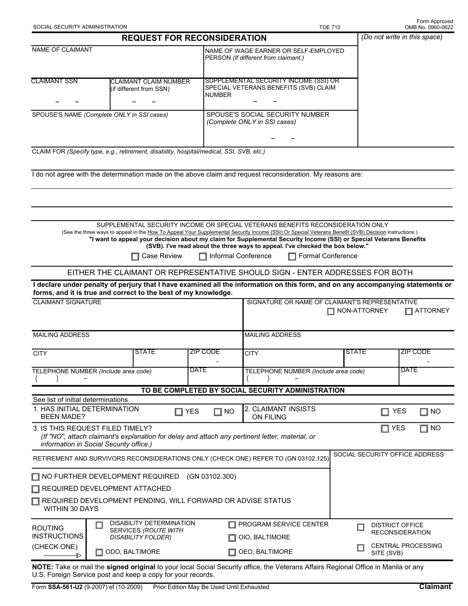| SOCIAL SECURITY ADMINISTRATION                                                                             |                                                                             |                                                                                                                                                                                                                                                                                                                                                                                    |                |                                                                                                 |                                                                                          | <b>TOE 710</b>                       |                                         |  | Form Approved<br>OMB No. 0960-0622                                                                                              |
|------------------------------------------------------------------------------------------------------------|-----------------------------------------------------------------------------|------------------------------------------------------------------------------------------------------------------------------------------------------------------------------------------------------------------------------------------------------------------------------------------------------------------------------------------------------------------------------------|----------------|-------------------------------------------------------------------------------------------------|------------------------------------------------------------------------------------------|--------------------------------------|-----------------------------------------|--|---------------------------------------------------------------------------------------------------------------------------------|
|                                                                                                            |                                                                             | <b>REQUEST FOR RECONSIDERATION</b>                                                                                                                                                                                                                                                                                                                                                 |                |                                                                                                 |                                                                                          |                                      |                                         |  | (Do not write in this space)                                                                                                    |
| <b>NAME OF CLAIMANT</b>                                                                                    |                                                                             |                                                                                                                                                                                                                                                                                                                                                                                    |                | NAME OF WAGE EARNER OR SELF-EMPLOYED<br>PERSON (If different from claimant.)                    |                                                                                          |                                      |                                         |  |                                                                                                                                 |
| <b>CLAIMANT SSN</b>                                                                                        |                                                                             | <b>CLAIMANT CLAIM NUMBER</b><br>(if different from SSN)                                                                                                                                                                                                                                                                                                                            |                | SUPPLEMENTAL SECURITY INCOME (SSI) OR<br>SPECIAL VETERANS BENEFITS (SVB) CLAIM<br><b>NUMBER</b> |                                                                                          |                                      |                                         |  |                                                                                                                                 |
| SPOUSE'S NAME (Complete ONLY in SSI cases)                                                                 |                                                                             |                                                                                                                                                                                                                                                                                                                                                                                    |                | SPOUSE'S SOCIAL SECURITY NUMBER<br>(Complete ONLY in SSI cases)                                 |                                                                                          |                                      |                                         |  |                                                                                                                                 |
| CLAIM FOR (Specify type, e.g., retirement, disability, hospital/medical, SSI, SVB, etc.)                   |                                                                             |                                                                                                                                                                                                                                                                                                                                                                                    |                |                                                                                                 |                                                                                          |                                      |                                         |  |                                                                                                                                 |
| I do not agree with the determination made on the above claim and request reconsideration. My reasons are: |                                                                             |                                                                                                                                                                                                                                                                                                                                                                                    |                |                                                                                                 |                                                                                          |                                      |                                         |  |                                                                                                                                 |
|                                                                                                            |                                                                             |                                                                                                                                                                                                                                                                                                                                                                                    |                |                                                                                                 |                                                                                          |                                      |                                         |  |                                                                                                                                 |
|                                                                                                            |                                                                             | SUPPLEMENTAL SECURITY INCOME OR SPECIAL VETERANS BENEFITS RECONSIDERATION ONLY<br>(See the three ways to appeal in the How To Appeal Your Supplemental Security Income (SSI) Or Special Veterans Benefit (SVB) Decision instructions.)<br>"I want to appeal your decision about my claim for Supplemental Security Income (SSI) or Special Veterans Benefits<br><b>Case Review</b> |                | $\Box$ Informal Conference                                                                      | (SVB). I've read about the three ways to appeal. I've checked the box below."            | <b>Formal Conference</b>             |                                         |  |                                                                                                                                 |
|                                                                                                            |                                                                             | EITHER THE CLAIMANT OR REPRESENTATIVE SHOULD SIGN - ENTER ADDRESSES FOR BOTH                                                                                                                                                                                                                                                                                                       |                |                                                                                                 |                                                                                          |                                      |                                         |  |                                                                                                                                 |
|                                                                                                            |                                                                             |                                                                                                                                                                                                                                                                                                                                                                                    |                |                                                                                                 |                                                                                          |                                      |                                         |  | I declare under penalty of perjury that I have examined all the information on this form, and on any accompanying statements or |
| forms, and it is true and correct to the best of my knowledge.<br><b>CLAIMANT SIGNATURE</b>                |                                                                             |                                                                                                                                                                                                                                                                                                                                                                                    |                |                                                                                                 | SIGNATURE OR NAME OF CLAIMANT'S REPRESENTATIVE<br>$\Box$ NON-ATTORNEY<br>$\Box$ ATTORNEY |                                      |                                         |  |                                                                                                                                 |
| <b>MAILING ADDRESS</b>                                                                                     |                                                                             |                                                                                                                                                                                                                                                                                                                                                                                    |                | <b>MAILING ADDRESS</b>                                                                          |                                                                                          |                                      |                                         |  |                                                                                                                                 |
| <b>CITY</b>                                                                                                |                                                                             | <b>STATE</b>                                                                                                                                                                                                                                                                                                                                                                       |                | <b>ZIP CODE</b>                                                                                 | <b>CITY</b>                                                                              |                                      | <b>STATE</b>                            |  | <b>ZIP CODE</b>                                                                                                                 |
| TELEPHONE NUMBER (Include area code)                                                                       |                                                                             |                                                                                                                                                                                                                                                                                                                                                                                    | <b>DATE</b>    |                                                                                                 |                                                                                          | TELEPHONE NUMBER (Include area code) |                                         |  | <b>DATE</b>                                                                                                                     |
|                                                                                                            |                                                                             |                                                                                                                                                                                                                                                                                                                                                                                    |                |                                                                                                 | TO BE COMPLETED BY SOCIAL SECURITY ADMINISTRATION                                        |                                      |                                         |  |                                                                                                                                 |
| See list of initial determinations<br>1. HAS INITIAL DETERMINATION<br>$\Box$ YES<br><b>BEEN MADE?</b>      |                                                                             |                                                                                                                                                                                                                                                                                                                                                                                    |                | $\Box$ NO                                                                                       | 2. CLAIMANT INSISTS<br>ON FILING                                                         |                                      |                                         |  | <b>YES</b><br>$\Box$ NO                                                                                                         |
| 3. IS THIS REQUEST FILED TIMELY?<br>information in Social Security office.)                                |                                                                             | (If "NO", attach claimant's explanation for delay and attach any pertinent letter, material, or                                                                                                                                                                                                                                                                                    |                |                                                                                                 |                                                                                          |                                      |                                         |  | <b>YES</b><br>NO                                                                                                                |
| RETIREMENT AND SURVIVORS RECONSIDERATIONS ONLY (CHECK ONE) REFER TO (GN 03102.125)                         |                                                                             |                                                                                                                                                                                                                                                                                                                                                                                    |                |                                                                                                 |                                                                                          |                                      |                                         |  | SOCIAL SECURITY OFFICE ADDRESS                                                                                                  |
| $\Box$ NO FURTHER DEVELOPMENT REQUIRED<br>$\Box$ REQUIRED DEVELOPMENT ATTACHED                             |                                                                             |                                                                                                                                                                                                                                                                                                                                                                                    |                | (GN 03102.300)                                                                                  |                                                                                          |                                      |                                         |  |                                                                                                                                 |
| REQUIRED DEVELOPMENT PENDING, WILL FORWARD OR ADVISE STATUS<br>WITHIN 30 DAYS                              |                                                                             |                                                                                                                                                                                                                                                                                                                                                                                    |                |                                                                                                 |                                                                                          |                                      |                                         |  |                                                                                                                                 |
| <b>ROUTING</b><br><b>INSTRUCTIONS</b>                                                                      | DISABILITY DETERMINATION<br>ш<br>SERVICES (ROUTE WITH<br>DISABILITY FOLDER) |                                                                                                                                                                                                                                                                                                                                                                                    |                |                                                                                                 | PROGRAM SERVICE CENTER<br>OIO, BALTIMORE                                                 |                                      |                                         |  | <b>DISTRICT OFFICE</b><br><b>RECONSIDERATION</b>                                                                                |
| (CHECK ONE)<br>ODO, BALTIMORE<br>▶                                                                         |                                                                             |                                                                                                                                                                                                                                                                                                                                                                                    | OEO, BALTIMORE |                                                                                                 |                                                                                          |                                      | <b>CENTRAL PROCESSING</b><br>SITE (SVB) |  |                                                                                                                                 |

**NOTE:** Take or mail the **signed original** to your local Social Security office, the Veterans Affairs Regional Office in Manila or any U.S. Foreign Service post and keep a copy for your records.

Form Approved